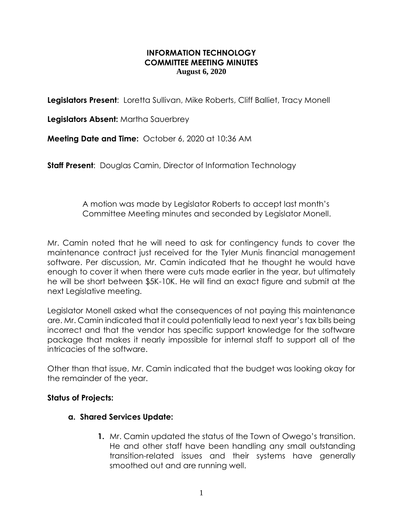## **INFORMATION TECHNOLOGY COMMITTEE MEETING MINUTES August 6, 2020**

**Legislators Present**: Loretta Sullivan, Mike Roberts, Cliff Balliet, Tracy Monell

**Legislators Absent:** Martha Sauerbrey

**Meeting Date and Time:** October 6, 2020 at 10:36 AM

**Staff Present:** Douglas Camin, Director of Information Technology

 A motion was made by Legislator Roberts to accept last month's Committee Meeting minutes and seconded by Legislator Monell.

Mr. Camin noted that he will need to ask for contingency funds to cover the maintenance contract just received for the Tyler Munis financial management software. Per discussion, Mr. Camin indicated that he thought he would have enough to cover it when there were cuts made earlier in the year, but ultimately he will be short between \$5K-10K. He will find an exact figure and submit at the next Legislative meeting.

Legislator Monell asked what the consequences of not paying this maintenance are. Mr. Camin indicated that it could potentially lead to next year's tax bills being incorrect and that the vendor has specific support knowledge for the software package that makes it nearly impossible for internal staff to support all of the intricacies of the software.

Other than that issue, Mr. Camin indicated that the budget was looking okay for the remainder of the year.

# **Status of Projects:**

### **a. Shared Services Update:**

**1.** Mr. Camin updated the status of the Town of Owego's transition. He and other staff have been handling any small outstanding transition-related issues and their systems have generally smoothed out and are running well.